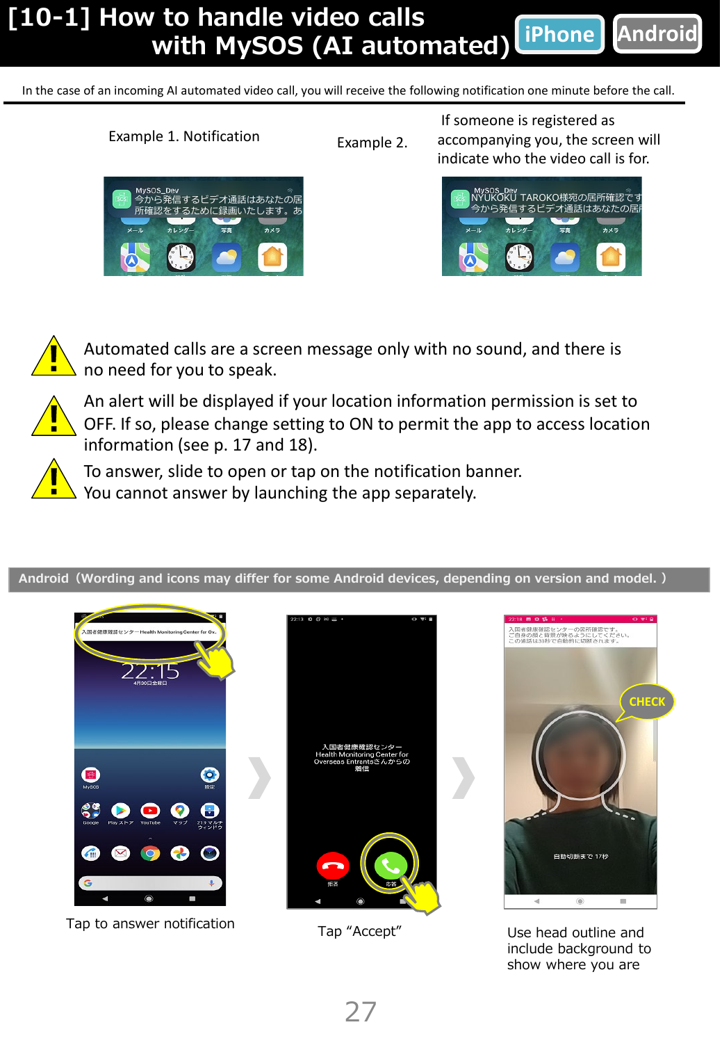## **[10-1] How to handle video calls with MySOS (AI automated) iPhone Android**

In the case of an incoming AI automated video call, you will receive the following notification one minute before the call.



Example 1. Notification



If someone is registered as accompanying you, the screen will indicate who the video call is for.





Automated calls are a screen message only with no sound, and there is no need for you to speak.



An alert will be displayed if your location information permission is set to OFF. If so, please change setting to ON to permit the app to access location information (see p. 17 and 18).



To answer, slide to open or tap on the notification banner. You cannot answer by launching the app separately.

**Android(Wording and icons may differ for some Android devices, depending on version and model. )**



Tap to answer notification Tap "Accept" Use head outline and





include background to show where you are

27